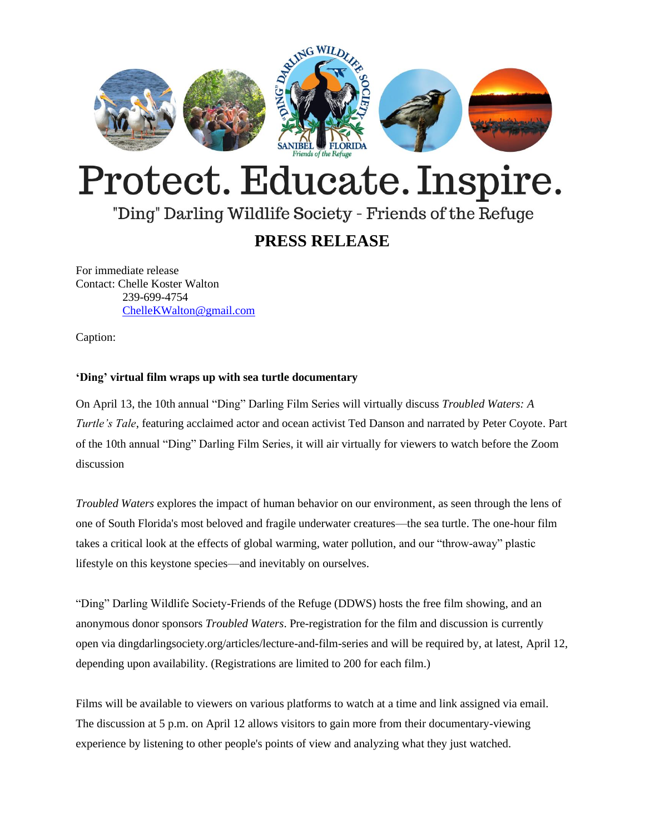

# Protect. Educate. Inspire.

## "Ding" Darling Wildlife Society - Friends of the Refuge

### **PRESS RELEASE**

For immediate release Contact: Chelle Koster Walton 239-699-4754 [ChelleKWalton@gmail.com](mailto:ChelleKWalton@gmail.com)

Caption:

#### **'Ding' virtual film wraps up with sea turtle documentary**

On April 13, the 10th annual "Ding" Darling Film Series will virtually discuss *Troubled Waters: A Turtle's Tale*, featuring acclaimed actor and ocean activist Ted Danson and narrated by Peter Coyote. Part of the 10th annual "Ding" Darling Film Series, it will air virtually for viewers to watch before the Zoom discussion

*Troubled Waters* explores the impact of human behavior on our environment, as seen through the lens of one of South Florida's most beloved and fragile underwater creatures—the sea turtle. The one-hour film takes a critical look at the effects of global warming, water pollution, and our "throw-away" plastic lifestyle on this keystone species—and inevitably on ourselves.

"Ding" Darling Wildlife Society-Friends of the Refuge (DDWS) hosts the free film showing, and an anonymous donor sponsors *Troubled Waters*. Pre-registration for the film and discussion is currently open via dingdarlingsociety.org/articles/lecture-and-film-series and will be required by, at latest, April 12, depending upon availability. (Registrations are limited to 200 for each film.)

Films will be available to viewers on various platforms to watch at a time and link assigned via email. The discussion at 5 p.m. on April 12 allows visitors to gain more from their documentary-viewing experience by listening to other people's points of view and analyzing what they just watched.